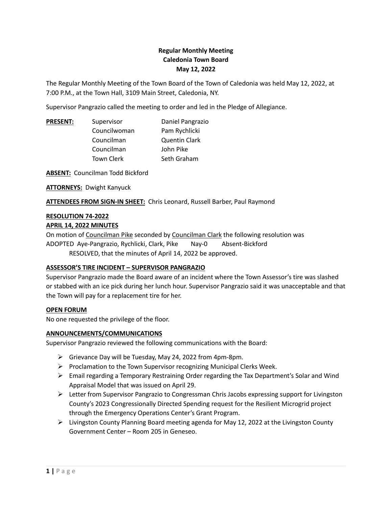# **Regular Monthly Meeting Caledonia Town Board May 12, 2022**

The Regular Monthly Meeting of the Town Board of the Town of Caledonia was held May 12, 2022, at 7:00 P.M., at the Town Hall, 3109 Main Street, Caledonia, NY.

Supervisor Pangrazio called the meeting to order and led in the Pledge of Allegiance.

| Supervisor        | Daniel Pangrazio     |
|-------------------|----------------------|
| Councilwoman      | Pam Rychlicki        |
| Councilman        | <b>Quentin Clark</b> |
| Councilman        | John Pike            |
| <b>Town Clerk</b> | Seth Graham          |
|                   |                      |

**ABSENT:** Councilman Todd Bickford

**ATTORNEYS:** Dwight Kanyuck

**ATTENDEES FROM SIGN-IN SHEET:** Chris Leonard, Russell Barber, Paul Raymond

## **RESOLUTION 74-2022**

### **APRIL 14, 2022 MINUTES**

On motion of Councilman Pike seconded by Councilman Clark the following resolution was ADOPTED Aye-Pangrazio, Rychlicki, Clark, Pike Nay-0 Absent-Bickford RESOLVED, that the minutes of April 14, 2022 be approved.

## **ASSESSOR'S TIRE INCIDENT – SUPERVISOR PANGRAZIO**

Supervisor Pangrazio made the Board aware of an incident where the Town Assessor's tire was slashed or stabbed with an ice pick during her lunch hour. Supervisor Pangrazio said it was unacceptable and that the Town will pay for a replacement tire for her.

## **OPEN FORUM**

No one requested the privilege of the floor.

## **ANNOUNCEMENTS/COMMUNICATIONS**

Supervisor Pangrazio reviewed the following communications with the Board:

- Grievance Day will be Tuesday, May 24, 2022 from 4pm-8pm.
- $\triangleright$  Proclamation to the Town Supervisor recognizing Municipal Clerks Week.
- $\triangleright$  Email regarding a Temporary Restraining Order regarding the Tax Department's Solar and Wind Appraisal Model that was issued on April 29.
- $\triangleright$  Letter from Supervisor Pangrazio to Congressman Chris Jacobs expressing support for Livingston County's 2023 Congressionally Directed Spending request for the Resilient Microgrid project through the Emergency Operations Center's Grant Program.
- $\triangleright$  Livingston County Planning Board meeting agenda for May 12, 2022 at the Livingston County Government Center – Room 205 in Geneseo.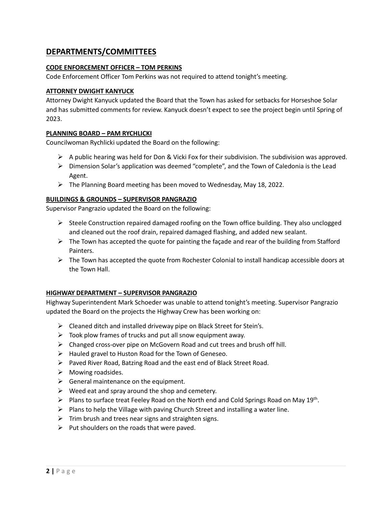# **DEPARTMENTS/COMMITTEES**

## **CODE ENFORCEMENT OFFICER – TOM PERKINS**

Code Enforcement Officer Tom Perkins was not required to attend tonight's meeting.

## **ATTORNEY DWIGHT KANYUCK**

Attorney Dwight Kanyuck updated the Board that the Town has asked for setbacks for Horseshoe Solar and has submitted comments for review. Kanyuck doesn't expect to see the project begin until Spring of 2023.

## **PLANNING BOARD – PAM RYCHLICKI**

Councilwoman Rychlicki updated the Board on the following:

- $\triangleright$  A public hearing was held for Don & Vicki Fox for their subdivision. The subdivision was approved.
- $\triangleright$  Dimension Solar's application was deemed "complete", and the Town of Caledonia is the Lead Agent.
- $\triangleright$  The Planning Board meeting has been moved to Wednesday, May 18, 2022.

## **BUILDINGS & GROUNDS – SUPERVISOR PANGRAZIO**

Supervisor Pangrazio updated the Board on the following:

- $\triangleright$  Steele Construction repaired damaged roofing on the Town office building. They also unclogged and cleaned out the roof drain, repaired damaged flashing, and added new sealant.
- $\triangleright$  The Town has accepted the quote for painting the façade and rear of the building from Stafford Painters.
- $\triangleright$  The Town has accepted the quote from Rochester Colonial to install handicap accessible doors at the Town Hall.

## **HIGHWAY DEPARTMENT – SUPERVISOR PANGRAZIO**

Highway Superintendent Mark Schoeder was unable to attend tonight's meeting. Supervisor Pangrazio updated the Board on the projects the Highway Crew has been working on:

- $\triangleright$  Cleaned ditch and installed driveway pipe on Black Street for Stein's.
- $\triangleright$  Took plow frames of trucks and put all snow equipment away.
- Changed cross-over pipe on McGovern Road and cut trees and brush off hill.
- $\triangleright$  Hauled gravel to Huston Road for the Town of Geneseo.
- $\triangleright$  Paved River Road, Batzing Road and the east end of Black Street Road.
- $\triangleright$  Mowing roadsides.
- $\triangleright$  General maintenance on the equipment.
- $\triangleright$  Weed eat and spray around the shop and cemetery.
- $\triangleright$  Plans to surface treat Feeley Road on the North end and Cold Springs Road on May 19<sup>th</sup>. .
- $\triangleright$  Plans to help the Village with paving Church Street and installing a water line.
- $\triangleright$  Trim brush and trees near signs and straighten signs.
- $\triangleright$  Put shoulders on the roads that were paved.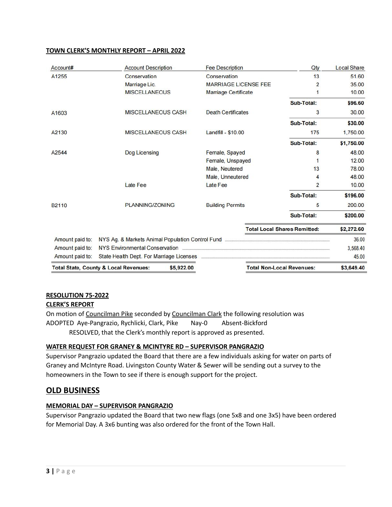## **TOWN CLERK'S MONTHLY REPORT – APRIL 2022**

| Account#          | <b>Account Description</b>                                                 | <b>Fee Description</b>      | Qty                                 | <b>Local Share</b> |
|-------------------|----------------------------------------------------------------------------|-----------------------------|-------------------------------------|--------------------|
| A1255             | Conservation                                                               | Conservation                | 13                                  | 51.60              |
|                   | Marriage Lic.                                                              | <b>MARRIAGE LICENSE FEE</b> | $\overline{2}$                      | 35.00              |
|                   | <b>MISCELLANEOUS</b>                                                       | <b>Marriage Certificate</b> | 1                                   | 10.00              |
|                   |                                                                            |                             | Sub-Total:                          | \$96.60            |
| A1603             | <b>MISCELLANEOUS CASH</b>                                                  | <b>Death Certificates</b>   | 3                                   | 30.00              |
|                   |                                                                            |                             | Sub-Total:                          | \$30.00            |
| A2130             | <b>MISCELLANEOUS CASH</b>                                                  | Landfill - \$10.00          | 175                                 | 1,750.00           |
|                   |                                                                            |                             | Sub-Total:                          | \$1,750.00         |
| A2544             | Dog Licensing                                                              | Female, Spayed              | 8                                   | 48.00              |
|                   |                                                                            | Female, Unspayed            | 1                                   | 12.00              |
|                   |                                                                            | Male, Neutered              | 13                                  | 78.00              |
|                   |                                                                            | Male, Unneutered            | 4                                   | 48.00              |
|                   | Late Fee                                                                   | Late Fee                    | $\overline{2}$                      | 10.00              |
|                   |                                                                            |                             | Sub-Total:                          | \$196.00           |
| B <sub>2110</sub> | <b>PLANNING/ZONING</b>                                                     | <b>Building Permits</b>     | 5                                   | 200.00             |
|                   |                                                                            |                             | Sub-Total:                          | \$200.00           |
|                   |                                                                            |                             | <b>Total Local Shares Remitted:</b> | \$2,272.60         |
| Amount paid to:   | NYS Ag. & Markets Animal Population Control Fund <b>Fig. 1000</b> Ag. 2010 |                             |                                     | 36.00              |
| Amount paid to:   | NYS Environmental Conservation                                             |                             |                                     | 3,568.40           |
| Amount paid to:   |                                                                            |                             |                                     | 45.00              |
|                   | <b>Total State, County &amp; Local Revenues:</b><br>\$5,922.00             |                             | <b>Total Non-Local Revenues:</b>    | \$3,649.40         |

# **RESOLUTION 75-2022**

# **CLERK'S REPORT**

On motion of Councilman Pike seconded by Councilman Clark the following resolution was ADOPTED Aye-Pangrazio, Rychlicki, Clark, Pike Nay-0 Absent-Bickford RESOLVED, that the Clerk's monthly report is approved as presented.

## **WATER REQUEST FOR GRANEY & MCINTYRE RD – SUPERVISOR PANGRAZIO**

Supervisor Pangrazio updated the Board that there are a few individuals asking for water on parts of Graney and McIntyre Road. Livingston County Water & Sewer will be sending out a survey to the homeowners in the Town to see if there is enough support for the project.

# **OLD BUSINESS**

## **MEMORIAL DAY – SUPERVISOR PANGRAZIO**

Supervisor Pangrazio updated the Board that two new flags (one 5x8 and one 3x5) have been ordered for Memorial Day. A 3x6 bunting was also ordered for the front of the Town Hall.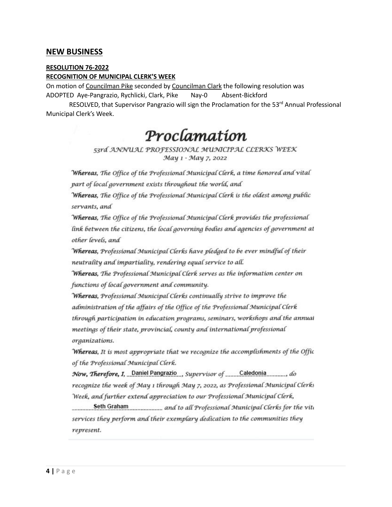# **NEW BUSINESS**

### **RESOLUTION 76-2022**

### **RECOGNITION OF MUNICIPAL CLERK'S WEEK**

On motion of Councilman Pike seconded by Councilman Clark the following resolution was ADOPTED Aye-Pangrazio, Rychlicki, Clark, Pike Nay-0 Absent-Bickford

RESOLVED, that Supervisor Pangrazio will sign the Proclamation for the 53<sup>rd</sup> Annual Professional Municipal Clerk's Week.

# Proclamation

## 53rd ANNUAL PROFESSIONAL MUNICIPAL CLERKS WEEK May 1 - May 7, 2022

Whereas, The Office of the Professional Municipal Clerk, a time honored and vital part of local government exists throughout the world, and

Whereas, The Office of the Professional Municipal Clerk is the oldest among public servants, and

Whereas, The Office of the Professional Municipal Clerk provides the professional link between the citizens, the local governing bodies and agencies of government at other levels, and

Whereas, Professional Municipal Clerks have pledged to be ever mindful of their neutrality and impartiality, rendering equal service to all.

Whereas, The Professional Municipal Clerk serves as the information center on functions of local government and community.

Whereas, Professional Municipal Clerks continually strive to improve the administration of the affairs of the Office of the Professional Municipal Clerk through participation in education programs, seminars, workshops and the annual meetings of their state, provincial, county and international professional organizations.

Whereas, It is most appropriate that we recognize the accomplishments of the Offic of the Professional Municipal Clerk.

Now, Therefore, I, Daniel Pangrazio supervisor of Caledonia do recognize the week of May 1 through May 7, 2022, as Professional Municipal Clerks Week, and further extend appreciation to our Professional Municipal Clerk,

Seth Graham and to all Professional Municipal Clerks for the viti services they perform and their exemplary dedication to the communities they represent.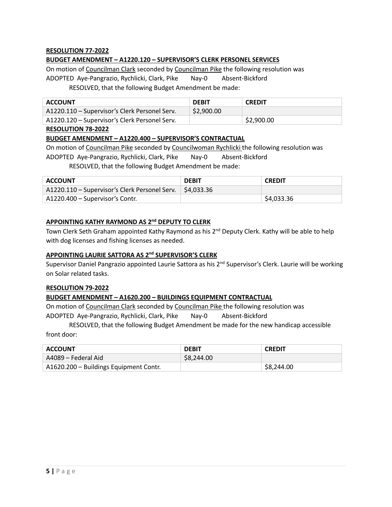## **RESOLUTION 77-2022**

## **BUDGET AMENDMENT – A1220.120 – SUPERVISOR'S CLERK PERSONEL SERVICES**

On motion of Councilman Clark seconded by Councilman Pike the following resolution was ADOPTED Aye-Pangrazio, Rychlicki, Clark, Pike Nay-0 Absent-Bickford RESOLVED, that the following Budget Amendment be made:

| <b>ACCOUNT</b>                                | <b>DEBIT</b> | <b>CREDIT</b> |
|-----------------------------------------------|--------------|---------------|
| A1220.110 - Supervisor's Clerk Personel Serv. | \$2,900.00   |               |
| A1220.120 – Supervisor's Clerk Personel Serv. |              | \$2,900.00    |

### **RESOLUTION 78-2022**

### **BUDGET AMENDMENT – A1220.400 – SUPERVISOR'S CONTRACTUAL**

On motion of Councilman Pike seconded by Councilwoman Rychlicki the following resolution was

ADOPTED Aye-Pangrazio, Rychlicki, Clark, Pike Nay-0 Absent-Bickford

RESOLVED, that the following Budget Amendment be made:

| ACCOUNT                                                                | <b>DFRIT</b> | <b>CREDIT</b> |
|------------------------------------------------------------------------|--------------|---------------|
| A1220.110 – Supervisor's Clerk Personel Serv. $\frac{1}{2}$ \$4,033.36 |              |               |
| A1220.400 – Supervisor's Contr.                                        |              | \$4,033.36    |

# **APPOINTING KATHY RAYMOND AS 2 nd DEPUTY TO CLERK**

Town Clerk Seth Graham appointed Kathy Raymond as his 2<sup>nd</sup> Deputy Clerk. Kathy will be able to help with dog licenses and fishing licenses as needed.

## **APPOINTING LAURIE SATTORA AS 2 nd SUPERVISOR'S CLERK**

Supervisor Daniel Pangrazio appointed Laurie Sattora as his 2<sup>nd</sup> Supervisor's Clerk. Laurie will be working on Solar related tasks.

### **RESOLUTION 79-2022**

## **BUDGET AMENDMENT – A1620.200 – BUILDINGS EQUIPMENT CONTRACTUAL**

On motion of Councilman Clark seconded by Councilman Pike the following resolution was ADOPTED Aye-Pangrazio, Rychlicki, Clark, Pike Nay-0 Absent-Bickford

RESOLVED, that the following Budget Amendment be made for the new handicap accessible front door:

| <b>ACCOUNT</b>                         | <b>DEBIT</b> | <b>CREDIT</b> |
|----------------------------------------|--------------|---------------|
| A4089 – Federal Aid                    | \$8,244.00   |               |
| A1620.200 - Buildings Equipment Contr. |              | \$8,244.00    |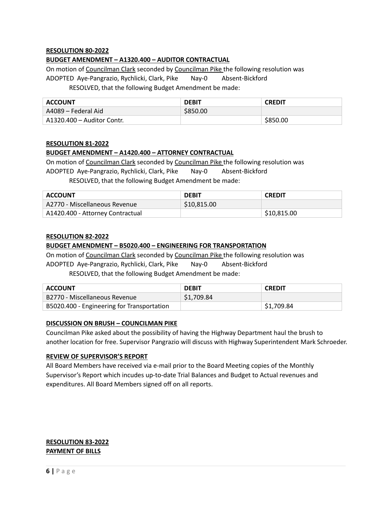### **RESOLUTION 80-2022**

### **BUDGET AMENDMENT – A1320.400 – AUDITOR CONTRACTUAL**

On motion of Councilman Clark seconded by Councilman Pike the following resolution was ADOPTED Aye-Pangrazio, Rychlicki, Clark, Pike Nay-0 Absent-Bickford RESOLVED, that the following Budget Amendment be made:

| <b>ACCOUNT</b>             | <b>DEBIT</b> | <b>CREDIT</b> |
|----------------------------|--------------|---------------|
| A4089 – Federal Aid        | \$850.00     |               |
| A1320.400 – Auditor Contr. |              | \$850.00      |

### **RESOLUTION 81-2022**

### **BUDGET AMENDMENT – A1420.400 – ATTORNEY CONTRACTUAL**

On motion of Councilman Clark seconded by Councilman Pike the following resolution was

ADOPTED Aye-Pangrazio, Rychlicki, Clark, Pike Nay-0 Absent-Bickford

RESOLVED, that the following Budget Amendment be made:

| <b>ACCOUNT</b>                   | <b>DEBIT</b> | <b>CREDIT</b> |
|----------------------------------|--------------|---------------|
| A2770 - Miscellaneous Revenue    | \$10,815,00  |               |
| A1420.400 - Attorney Contractual |              | \$10,815.00   |

### **RESOLUTION 82-2022**

### **BUDGET AMENDMENT – B5020.400 – ENGINEERING FOR TRANSPORTATION**

On motion of Councilman Clark seconded by Councilman Pike the following resolution was ADOPTED Aye-Pangrazio, Rychlicki, Clark, Pike Nay-0 Absent-Bickford RESOLVED, that the following Budget Amendment be made:

| ACCOUNT                                    | <b>DFRIT</b> | <b>CREDIT</b> |
|--------------------------------------------|--------------|---------------|
| B2770 - Miscellaneous Revenue              | \$1.709.84   |               |
| B5020.400 - Engineering for Transportation |              | \$1,709.84    |

### **DISCUSSION ON BRUSH – COUNCILMAN PIKE**

Councilman Pike asked about the possibility of having the Highway Department haulthe brush to another location for free. Supervisor Pangrazio will discuss with Highway Superintendent Mark Schroeder.

#### **REVIEW OF SUPERVISOR'S REPORT**

All Board Members have received via e-mail prior to the Board Meeting copies of the Monthly Supervisor's Report which incudes up-to-date Trial Balances and Budget to Actual revenues and expenditures. All Board Members signed off on all reports.

## **RESOLUTION 83-2022 PAYMENT OF BILLS**